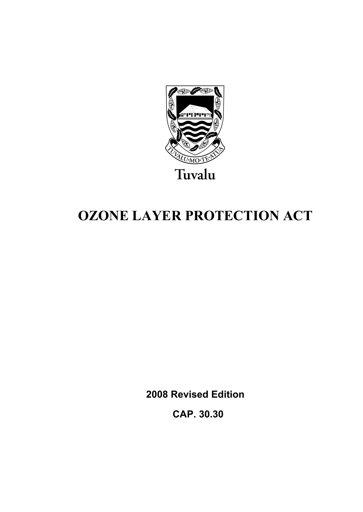

# **OZONE LAYER PROTECTION ACT**

**2008 Revised Edition** 

 **CAP. 30.30**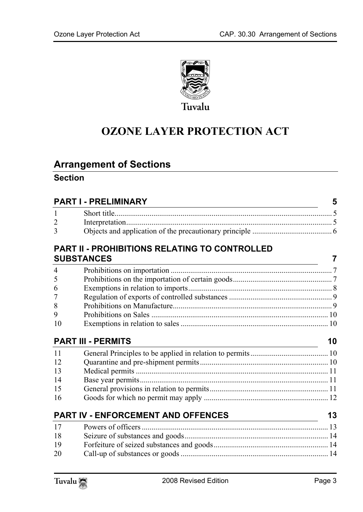

# **OZONE LAYER PROTECTION ACT**

# **Arrange[ment of Sections](#page-4-1)**

### **Section**

|                | <b>PART I - PRELIMINARY</b>                                                                                                                                | 5  |
|----------------|------------------------------------------------------------------------------------------------------------------------------------------------------------|----|
| 1              |                                                                                                                                                            |    |
| $\overline{2}$ |                                                                                                                                                            |    |
| 3              |                                                                                                                                                            |    |
|                | PART II - PROHIBITIONS RELATING TO CONTROLLED                                                                                                              |    |
|                | <b>SUBSTANCES</b><br><u> 1989 - Johann Barbara, martin da basar a shekara 1989 - An tsaran a shekara 1989 - An tsara 1989 - An tsara</u>                   | 7  |
| $\overline{4}$ |                                                                                                                                                            |    |
| 5              |                                                                                                                                                            |    |
| 6              |                                                                                                                                                            |    |
| 7              |                                                                                                                                                            |    |
| 8              |                                                                                                                                                            |    |
| 9              |                                                                                                                                                            |    |
| 10             |                                                                                                                                                            |    |
|                | <b>PART III - PERMITS</b>                                                                                                                                  | 10 |
| 11             |                                                                                                                                                            |    |
| 12             |                                                                                                                                                            |    |
| 13             |                                                                                                                                                            |    |
| 14             |                                                                                                                                                            |    |
| 15             |                                                                                                                                                            |    |
| 16             |                                                                                                                                                            |    |
|                | PART IV - ENFORCEMENT AND OFFENCES<br><u> 1980 - Johann Barn, mars ann an t-Amhain Aonaich an t-Aonaich an t-Aonaich ann an t-Aonaich ann an t-Aonaich</u> | 13 |
| 17             |                                                                                                                                                            |    |
| 18             |                                                                                                                                                            |    |
| 19             |                                                                                                                                                            |    |
| 20             |                                                                                                                                                            |    |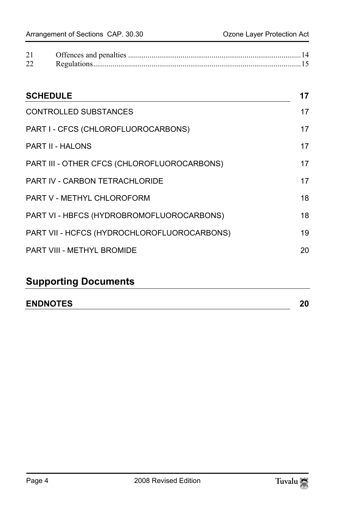| 21 |  |
|----|--|
| 22 |  |

| <b>SCHEDULE</b>                             | 17 |
|---------------------------------------------|----|
| <b>CONTROLLED SUBSTANCES</b>                | 17 |
| PART I - CFCS (CHLOROFLUOROCARBONS)         | 17 |
| <b>PART II - HALONS</b>                     | 17 |
| PART III - OTHER CFCS (CHLOROFLUOROCARBONS) | 17 |
| PART IV - CARBON TETRACHLORIDE              | 17 |
| PART V - METHYL CHLOROFORM                  | 18 |
| PART VI - HBFCS (HYDROBROMOFLUOROCARBONS)   | 18 |
| PART VII - HCFCS (HYDROCHLOROFLUOROCARBONS) | 19 |
| PART VIII - METHYL BROMIDE                  | 20 |

# **Supporting Documents**

| <b>ENDNOTES</b> | 20 |
|-----------------|----|
|-----------------|----|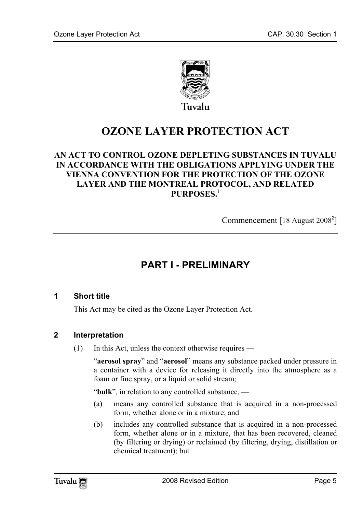

# **OZONE LAYER PROTECTION ACT**

#### **AN ACT TO CONTROL OZONE DEPLETING SUBST[AN](#page-19-2)CES IN TUVALU IN ACCORDANCE WITH THE OBLIGATIONS APPLYING UNDER THE VIENNA CONVENTION FOR THE PROTECTION OF THE OZONE LAYER AND THE MONTREAL PROTOCOL, AND RELATED PURPOSES.**<sup>1</sup>

<span id="page-4-0"></span>Commencement [18 August 2008**<sup>2</sup>** ]

# <span id="page-4-1"></span>**PART I - PRELIMINARY**

#### **1 Short title**

This Act may be cited as the Ozone Layer Protection Act.

#### **2 Interpretation**

(1) In this Act, unless the context otherwise requires —

"**aerosol spray**" and "**aerosol**" means any substance packed under pressure in a container with a device for releasing it directly into the atmosphere as a foam or fine spray, or a liquid or solid stream;

"**bulk**", in relation to any controlled substance, —

- (a) means any controlled substance that is acquired in a non-processed form, whether alone or in a mixture; and
- (b) includes any controlled substance that is acquired in a non-processed form, whether alone or in a mixture, that has been recovered, cleaned (by filtering or drying) or reclaimed (by filtering, drying, distillation or chemical treatment); but

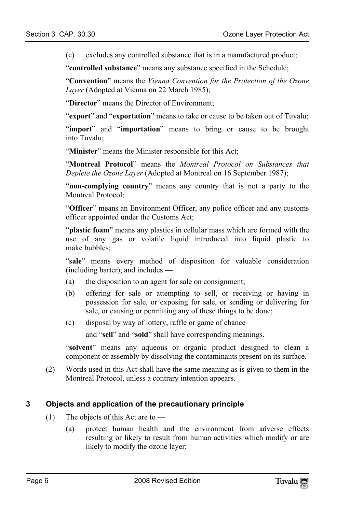(c) excludes any controlled substance that is in a manufactured product;

"**controlled substance**" means any substance specified in the Schedule;

"**Convention**" means the *Vienna Convention for the Protection of the Ozone Layer* (Adopted at Vienna on 22 March 1985);

"**Director**" means the Director of Environment;

"**export**" and "**exportation**" means to take or cause to be taken out of Tuvalu;

"**import**" and "**importation**" means to bring or cause to be brought into Tuvalu;

"**Minister**" means the Minister responsible for this Act;

"**Montreal Protocol**" means the *Montreal Protocol on Substances that Deplete the Ozone Layer* (Adopted at Montreal on 16 September 1987);

"**non-complying country**" means any country that is not a party to the Montreal Protocol;

"**Officer**" means an Environment Officer, any police officer and any customs officer appointed under the Customs Act;

"**plastic foam**" means any plastics in cellular mass which are formed with the use of any gas or volatile liquid introduced into liquid plastic to make bubbles;

"**sale**" means every method of disposition for valuable consideration (including barter), and includes —

- (a) the disposition to an agent for sale on consignment;
- (b) offering for sale or attempting to sell, or receiving or having in possession for sale, or exposing for sale, or sending or delivering for sale, or causing or permitting any of these things to be done;
- (c) disposal by way of lottery, raffle or game of chance —

and "**sell**" and "**sold**" shall have corresponding meanings.

"**solvent**" means any aqueous or organic product designed to clean a component or assembly by dissolving the contaminants present on its surface.

(2) Words used in this Act shall have the same meaning as is given to them in the Montreal Protocol, unless a contrary intention appears.

#### **3 Objects and application of the precautionary principle**

- (1) The objects of this Act are to  $-$ 
	- (a) protect human health and the environment from adverse effects resulting or likely to result from human activities which modify or are likely to modify the ozone layer;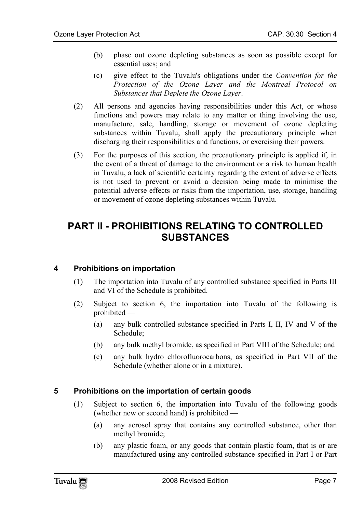- (b) phase out ozone depleting substances as soon as possible except for essential uses; and
- (c) give effect to the Tuvalu's obligations under the *Convention for the Protection of the Ozone Layer and the Montreal Protocol on Substances that Deplete the Ozone Layer*.
- (2) All persons and agencies having responsibilities under this Act, or whose functions and powers may relate to any matter or thing involving the use, manufacture, sale, handling, storage or movement of ozone depleting substances within Tuvalu, shall apply the precautionary principle when discharging their responsibilities and functions, or exercising their powers.
- <span id="page-6-0"></span>(3) For the purposes of this section, the precautionary principle is applied if, in the event of a threat of damage to the environment or a risk to human health in Tuvalu, a lack of scientific certainty regarding the extent of adverse effects is not used to prevent or avoid a decision being made to minimise the potential adverse effects or risks from the importation, use, storage, handling or movement of ozone depleting substances within Tuvalu.

## <span id="page-6-1"></span>**PART II - PROHIBITIONS RELATING TO CONTROLLED SUBSTANCES**

#### **4 Prohibitions on importation**

- (1) The importation into Tuvalu of any controlled substance specified in Parts III and VI of the Schedule is prohibited.
- <span id="page-6-2"></span>(2) Subject to section 6, the importation into Tuvalu of the following is prohibited —
	- (a) any bulk controlled substance specified in Parts I, II, IV and V of the Schedule;
	- (b) any bulk methyl bromide, as specified in Part VIII of the Schedule; and
	- (c) any bulk hydro chlorofluorocarbons, as specified in Part VII of the Schedule (whether alone or in a mixture).

#### **5 Prohibitions on the importation of certain goods**

- (1) Subject to section 6, the importation into Tuvalu of the following goods (whether new or second hand) is prohibited —
	- (a) any aerosol spray that contains any controlled substance, other than methyl bromide;
	- (b) any plastic foam, or any goods that contain plastic foam, that is or are manufactured using any controlled substance specified in Part I or Part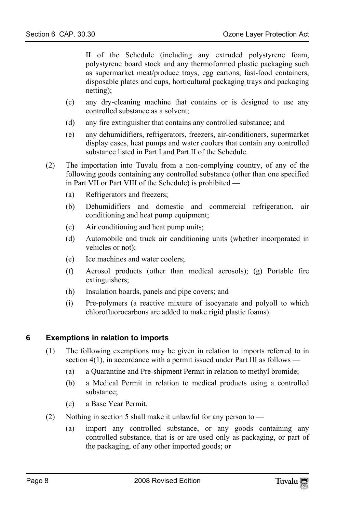II of the Schedule (including any extruded polystyrene foam, polystyrene board stock and any thermoformed plastic packaging such as supermarket meat/produce trays, egg cartons, fast-food containers, disposable plates and cups, horticultural packaging trays and packaging netting);

- (c) any dry-cleaning machine that contains or is designed to use any controlled substance as a solvent;
- (d) any fire extinguisher that contains any controlled substance; and
- (e) any dehumidifiers, refrigerators, freezers, air-conditioners, supermarket display cases, heat pumps and water coolers that contain any controlled substance listed in Part I and Part II of the Schedule.
- (2) The importation into Tuvalu from a non-complying country, of any of the following goods containing any controlled substance (other than one specified in Part VII or Part VIII of the Schedule) is prohibited —
	- (a) Refrigerators and freezers;
	- (b) Dehumidifiers and domestic and commercial refrigeration, air conditioning and heat pump equipment;
	- (c) Air conditioning and heat pump units;
	- (d) Automobile and truck air conditioning units (whether incorporated in vehicles or not);
	- (e) Ice machines and water coolers;
	- (f) Aerosol products (other than medical aerosols); (g) Portable fire extinguishers;
	- (h) Insulation boards, panels and pipe covers; and
	- (i) Pre-polymers (a reactive mixture of isocyanate and polyoll to which chlorofluorocarbons are added to make rigid plastic foams).

#### **6 Exemptions in relation to imports**

- <span id="page-7-0"></span>(1) The following exemptions may be given in relation to imports referred to in section 4(1), in accordance with a permit issued under Part III as follows —
	- (a) a Quarantine and Pre-shipment Permit in relation to methyl bromide;
	- (b) a Medical Permit in relation to medical products using a controlled substance;
	- (c) a Base Year Permit.
- (2) Nothing in section 5 shall make it unlawful for any person to
	- (a) import any controlled substance, or any goods containing any controlled substance, that is or are used only as packaging, or part of the packaging, of any other imported goods; or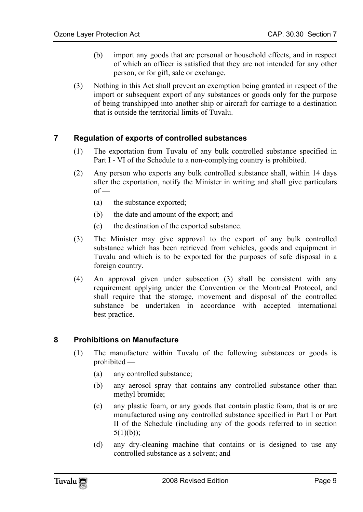- (b) import any goods that are personal or household effects, and in respect of which an officer is satisfied that they are not intended for any other person, or for gift, sale or exchange.
- <span id="page-8-0"></span>(3) Nothing in this Act shall prevent an exemption being granted in respect of the import or subsequent export of any substances or goods only for the purpose of being transhipped into another ship or aircraft for carriage to a destination that is outside the territorial limits of Tuvalu.

#### **7 Regulation of exports of controlled substances**

- (1) The exportation from Tuvalu of any bulk controlled substance specified in Part I - VI of the Schedule to a non-complying country is prohibited.
- (2) Any person who exports any bulk controlled substance shall, within 14 days after the exportation, notify the Minister in writing and shall give particulars  $of$  —
	- (a) the substance exported;
	- (b) the date and amount of the export; and
	- (c) the destination of the exported substance.
- (3) The Minister may give approval to the export of any bulk controlled substance which has been retrieved from vehicles, goods and equipment in Tuvalu and which is to be exported for the purposes of safe disposal in a foreign country.
- <span id="page-8-1"></span>(4) An approval given under subsection (3) shall be consistent with any requirement applying under the Convention or the Montreal Protocol, and shall require that the storage, movement and disposal of the controlled substance be undertaken in accordance with accepted international best practice.

#### **8 Prohibitions on Manufacture**

- (1) The manufacture within Tuvalu of the following substances or goods is prohibited —
	- (a) any controlled substance;
	- (b) any aerosol spray that contains any controlled substance other than methyl bromide;
	- (c) any plastic foam, or any goods that contain plastic foam, that is or are manufactured using any controlled substance specified in Part I or Part II of the Schedule (including any of the goods referred to in section  $5(1)(b)$ ;
	- (d) any dry-cleaning machine that contains or is designed to use any controlled substance as a solvent; and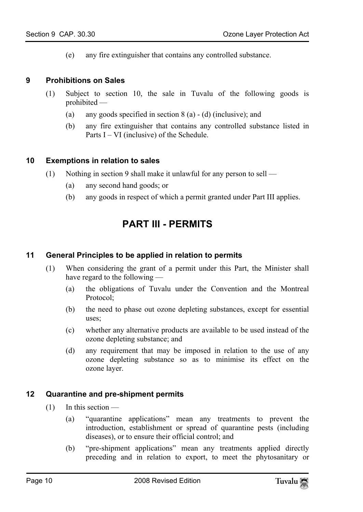<span id="page-9-0"></span>(e) any fire extinguisher that contains any controlled substance.

#### **9 Prohibitions on Sales**

- <span id="page-9-1"></span>(1) Subject to section 10, the sale in Tuvalu of the following goods is prohibited —
	- (a) any goods specified in section 8 (a) (d) (inclusive); and
	- (b) any fire extinguisher that contains any controlled substance listed in Parts I – VI (inclusive) of the Schedule.

#### **10 Exemptions in relation to sales**

- <span id="page-9-3"></span>(1) Nothing in section 9 shall make it unlawful for any person to sell —
	- (a) any second hand goods; or
	- (b) any goods in respect of which a permit granted under Part III applies.

## <span id="page-9-2"></span>**PART III - PERMITS**

#### **11 General Principles to be applied in relation to permits**

- (1) When considering the grant of a permit under this Part, the Minister shall have regard to the following —
	- (a) the obligations of Tuvalu under the Convention and the Montreal Protocol;
	- (b) the need to phase out ozone depleting substances, except for essential uses;
	- (c) whether any alternative products are available to be used instead of the ozone depleting substance; and
	- (d) any requirement that may be imposed in relation to the use of any ozone depleting substance so as to minimise its effect on the ozone layer.

#### <span id="page-9-4"></span>**12 Quarantine and pre-shipment permits**

- $(1)$  In this section
	- (a) "quarantine applications" mean any treatments to prevent the introduction, establishment or spread of quarantine pests (including diseases), or to ensure their official control; and
	- (b) "pre-shipment applications" mean any treatments applied directly preceding and in relation to export, to meet the phytosanitary or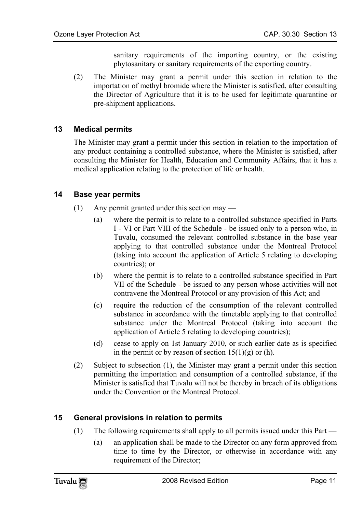sanitary requirements of the importing country, or the existing phytosanitary or sanitary requirements of the exporting country.

<span id="page-10-0"></span>(2) The Minister may grant a permit under this section in relation to the importation of methyl bromide where the Minister is satisfied, after consulting the Director of Agriculture that it is to be used for legitimate quarantine or pre-shipment applications.

#### **13 Medical permits**

<span id="page-10-1"></span>The Minister may grant a permit under this section in relation to the importation of any product containing a controlled substance, where the Minister is satisfied, after consulting the Minister for Health, Education and Community Affairs, that it has a medical application relating to the protection of life or health.

#### **14 Base year permits**

- (1) Any permit granted under this section may
	- (a) where the permit is to relate to a controlled substance specified in Parts I - VI or Part VIII of the Schedule - be issued only to a person who, in Tuvalu, consumed the relevant controlled substance in the base year applying to that controlled substance under the Montreal Protocol (taking into account the application of Article 5 relating to developing countries); or
	- (b) where the permit is to relate to a controlled substance specified in Part VII of the Schedule - be issued to any person whose activities will not contravene the Montreal Protocol or any provision of this Act; and
	- (c) require the reduction of the consumption of the relevant controlled substance in accordance with the timetable applying to that controlled substance under the Montreal Protocol (taking into account the application of Article 5 relating to developing countries);
	- (d) cease to apply on 1st January 2010, or such earlier date as is specified in the permit or by reason of section  $15(1)(g)$  or (h).
- <span id="page-10-2"></span>(2) Subject to subsection (1), the Minister may grant a permit under this section permitting the importation and consumption of a controlled substance, if the Minister is satisfied that Tuvalu will not be thereby in breach of its obligations under the Convention or the Montreal Protocol.

#### **15 General provisions in relation to permits**

- (1) The following requirements shall apply to all permits issued under this Part
	- (a) an application shall be made to the Director on any form approved from time to time by the Director, or otherwise in accordance with any requirement of the Director;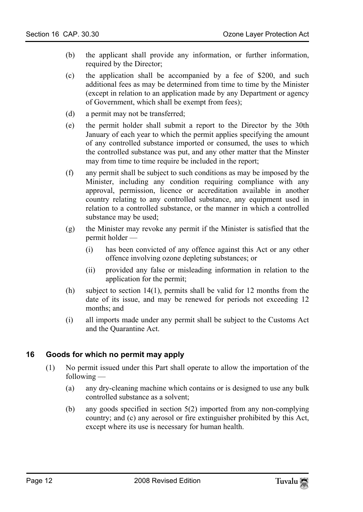- (b) the applicant shall provide any information, or further information, required by the Director;
- (c) the application shall be accompanied by a fee of \$200, and such additional fees as may be determined from time to time by the Minister (except in relation to an application made by any Department or agency of Government, which shall be exempt from fees);
- (d) a permit may not be transferred;
- (e) the permit holder shall submit a report to the Director by the 30th January of each year to which the permit applies specifying the amount of any controlled substance imported or consumed, the uses to which the controlled substance was put, and any other matter that the Minster may from time to time require be included in the report;
- (f) any permit shall be subject to such conditions as may be imposed by the Minister, including any condition requiring compliance with any approval, permission, licence or accreditation available in another country relating to any controlled substance, any equipment used in relation to a controlled substance, or the manner in which a controlled substance may be used;
- (g) the Minister may revoke any permit if the Minister is satisfied that the permit holder —
	- (i) has been convicted of any offence against this Act or any other offence involving ozone depleting substances; or
	- (ii) provided any false or misleading information in relation to the application for the permit;
- (h) subject to section 14(1), permits shall be valid for 12 months from the date of its issue, and may be renewed for periods not exceeding 12 months; and
- <span id="page-11-0"></span>(i) all imports made under any permit shall be subject to the Customs Act and the Quarantine Act.

#### **16 Goods for which no permit may apply**

- (1) No permit issued under this Part shall operate to allow the importation of the following —
	- (a) any dry-cleaning machine which contains or is designed to use any bulk controlled substance as a solvent;
	- (b) any goods specified in section 5(2) imported from any non-complying country; and (c) any aerosol or fire extinguisher prohibited by this Act, except where its use is necessary for human health.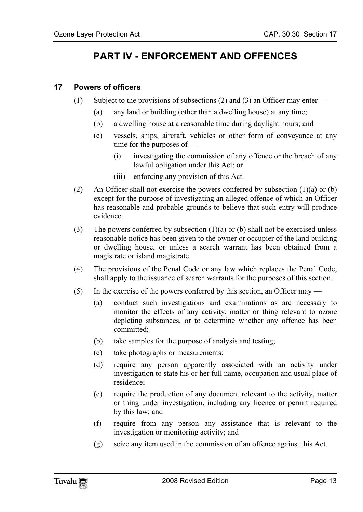# <span id="page-12-1"></span><span id="page-12-0"></span>**PART IV - ENFORCEMENT AND OFFENCES**

#### **17 Powers of officers**

- (1) Subject to the provisions of subsections (2) and (3) an Officer may enter
	- (a) any land or building (other than a dwelling house) at any time;
	- (b) a dwelling house at a reasonable time during daylight hours; and
	- (c) vessels, ships, aircraft, vehicles or other form of conveyance at any time for the purposes of —
		- (i) investigating the commission of any offence or the breach of any lawful obligation under this Act; or
		- (iii) enforcing any provision of this Act.
- (2) An Officer shall not exercise the powers conferred by subsection  $(1)(a)$  or  $(b)$ except for the purpose of investigating an alleged offence of which an Officer has reasonable and probable grounds to believe that such entry will produce evidence.
- (3) The powers conferred by subsection  $(1)(a)$  or (b) shall not be exercised unless reasonable notice has been given to the owner or occupier of the land building or dwelling house, or unless a search warrant has been obtained from a magistrate or island magistrate.
- (4) The provisions of the Penal Code or any law which replaces the Penal Code, shall apply to the issuance of search warrants for the purposes of this section.
- (5) In the exercise of the powers conferred by this section, an Officer may
	- (a) conduct such investigations and examinations as are necessary to monitor the effects of any activity, matter or thing relevant to ozone depleting substances, or to determine whether any offence has been committed;
	- (b) take samples for the purpose of analysis and testing;
	- (c) take photographs or measurements;
	- (d) require any person apparently associated with an activity under investigation to state his or her full name, occupation and usual place of residence;
	- (e) require the production of any document relevant to the activity, matter or thing under investigation, including any licence or permit required by this law; and
	- (f) require from any person any assistance that is relevant to the investigation or monitoring activity; and
	- (g) seize any item used in the commission of an offence against this Act.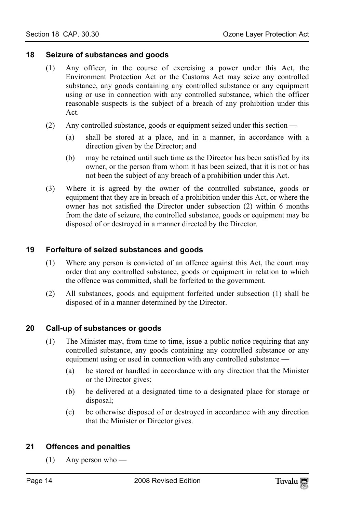#### <span id="page-13-0"></span>**18 Seizure of substances and goods**

- (1) Any officer, in the course of exercising a power under this Act, the Environment Protection Act or the Customs Act may seize any controlled substance, any goods containing any controlled substance or any equipment using or use in connection with any controlled substance, which the officer reasonable suspects is the subject of a breach of any prohibition under this Act.
- (2) Any controlled substance, goods or equipment seized under this section
	- (a) shall be stored at a place, and in a manner, in accordance with a direction given by the Director; and
	- (b) may be retained until such time as the Director has been satisfied by its owner, or the person from whom it has been seized, that it is not or has not been the subject of any breach of a prohibition under this Act.
- <span id="page-13-1"></span>(3) Where it is agreed by the owner of the controlled substance, goods or equipment that they are in breach of a prohibition under this Act, or where the owner has not satisfied the Director under subsection (2) within 6 months from the date of seizure, the controlled substance, goods or equipment may be disposed of or destroyed in a manner directed by the Director.

#### **19 Forfeiture of seized substances and goods**

- (1) Where any person is convicted of an offence against this Act, the court may order that any controlled substance, goods or equipment in relation to which the offence was committed, shall be forfeited to the government.
- <span id="page-13-2"></span>(2) All substances, goods and equipment forfeited under subsection (1) shall be disposed of in a manner determined by the Director.

#### **20 Call-up of substances or goods**

- (1) The Minister may, from time to time, issue a public notice requiring that any controlled substance, any goods containing any controlled substance or any equipment using or used in connection with any controlled substance —
	- (a) be stored or handled in accordance with any direction that the Minister or the Director gives;
	- (b) be delivered at a designated time to a designated place for storage or disposal;
	- (c) be otherwise disposed of or destroyed in accordance with any direction that the Minister or Director gives.

#### **21 Offences and penalties**

 $(1)$  Any person who —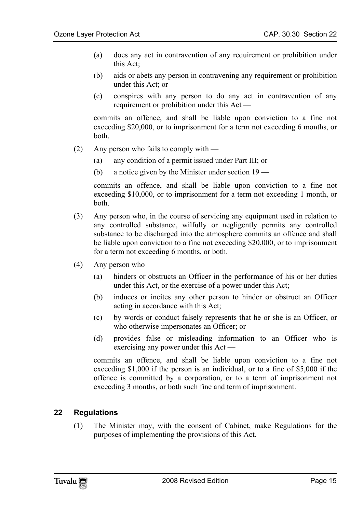- (a) does any act in contravention of any requirement or prohibition under this Act;
- (b) aids or abets any person in contravening any requirement or prohibition under this Act; or
- (c) conspires with any person to do any act in contravention of any requirement or prohibition under this Act —

commits an offence, and shall be liable upon conviction to a fine not exceeding \$20,000, or to imprisonment for a term not exceeding 6 months, or both.

- (2) Any person who fails to comply with  $-$ 
	- (a) any condition of a permit issued under Part III; or
	- (b) a notice given by the Minister under section 19 —

commits an offence, and shall be liable upon conviction to a fine not exceeding \$10,000, or to imprisonment for a term not exceeding 1 month, or both.

- (3) Any person who, in the course of servicing any equipment used in relation to any controlled substance, wilfully or negligently permits any controlled substance to be discharged into the atmosphere commits an offence and shall be liable upon conviction to a fine not exceeding \$20,000, or to imprisonment for a term not exceeding 6 months, or both.
- $(4)$  Any person who
	- (a) hinders or obstructs an Officer in the performance of his or her duties under this Act, or the exercise of a power under this Act;
	- (b) induces or incites any other person to hinder or obstruct an Officer acting in accordance with this Act;
	- (c) by words or conduct falsely represents that he or she is an Officer, or who otherwise impersonates an Officer; or
	- (d) provides false or misleading information to an Officer who is exercising any power under this Act —

commits an offence, and shall be liable upon conviction to a fine not exceeding \$1,000 if the person is an individual, or to a fine of \$5,000 if the offence is committed by a corporation, or to a term of imprisonment not exceeding 3 months, or both such fine and term of imprisonment.

#### **22 Regulations**

(1) The Minister may, with the consent of Cabinet, make Regulations for the purposes of implementing the provisions of this Act.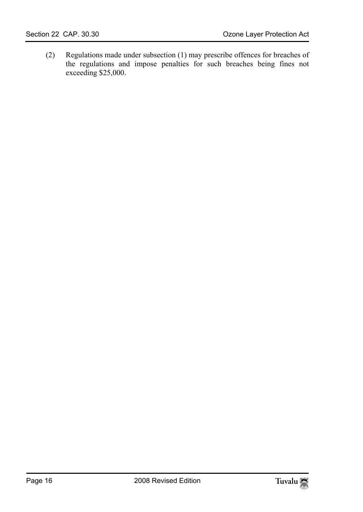(2) Regulations made under subsection (1) may prescribe offences for breaches of the regulations and impose penalties for such breaches being fines not exceeding \$25,000.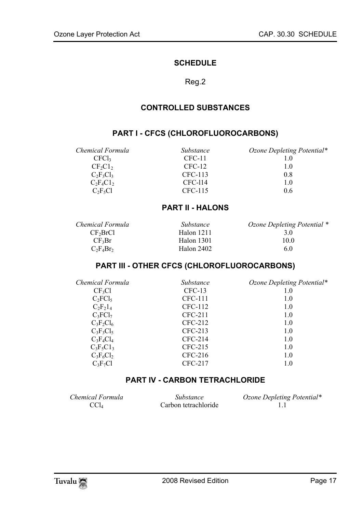#### <span id="page-16-1"></span><span id="page-16-0"></span>**SCHEDULE**

#### Reg.2

#### **CONTROLLED SUBSTANCES**

#### **PART I - CFCS (CHLOROFLUOROCARBONS)**

*Chemical Formula Substance Ozone Depleting Potential\**   $CFC11$  1.0<br> $CF_2C1_2$  CFC-12 1.0  $CF_2Cl_2$  CFC-12 1.0<br>  $C_2F_3Cl_3$  CFC-113 0.8  $C_2F_3Cl_3$  CFC-113 0.8<br> $C_2F_4Cl_2$  CFC-114 1.0  $C_2F_4C1_2$  CFC-114 1.0<br>  $C_2F_3C1$  CFC-115 0.6  $CFC-115$ 

<span id="page-16-2"></span>

#### <span id="page-16-3"></span>**PART II - HALONS**

| Chemical Formula     | Substance  | Ozone Depleting Potential * |
|----------------------|------------|-----------------------------|
| CF <sub>3</sub> BrCl | Halon 1211 | 3 O                         |
| $CF_3Br$             | Halon 1301 | 10 0                        |
| $C_2F_4Br_2$         | Halon 2402 | 60                          |

#### **PART III - OTHER CFCS (CHLOROFLUOROCARBONS)**

| Chemical Formula | Substance | Ozone Depleting Potential* |
|------------------|-----------|----------------------------|
| $CF_3Cl$         | $CFC-13$  | 1.0                        |
| $C_2FCl_5$       | CFC-111   | 1.0                        |
| $C_2F_21_4$      | CFC-112   | 1.0                        |
| $C_3FCl_7$       | $CFC-211$ | 1.0                        |
| $C_3F_2Cl_6$     | CFC-212   | 1.0                        |
| $C_3F_3Cl_5$     | $CFC-213$ | 1.0                        |
| $C_3F_4Cl_4$     | $CFC-214$ | 1.0                        |
| $C_3F_5C1_3$     | $CFC-215$ | 1.0                        |
| $C_3F_6Cl_2$     | $CFC-216$ | 1.0                        |
| $C_3F_7Cl$       | CFC-217   | 1.0                        |

#### <span id="page-16-4"></span>**PART IV - CARBON TETRACHLORIDE**

| Chemical Formula | Substance            | Ozone Depleting Potential* |
|------------------|----------------------|----------------------------|
| CCL              | Carbon tetrachloride |                            |

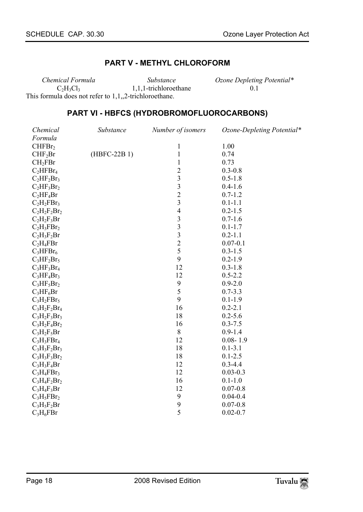#### <span id="page-17-1"></span><span id="page-17-0"></span>**PART V - METHYL CHLOROFORM**

*Chemical Formula Substance Ozone Depleting Potential\**   $C_2H_3C_3$  1,1,1-trichloroethane This formula does not refer to 1,1,,2-trichloroethane.

#### **PART VI - HBFCS (HYDROBROMOFLUOROCARBONS)**

| Chemical            | Substance    | Number of isomers        | Ozone-Depleting Potential* |
|---------------------|--------------|--------------------------|----------------------------|
| Formula             |              |                          |                            |
| CHFBr <sub>2</sub>  |              | 1                        | 1.00                       |
| CHF <sub>2</sub> Br | (HBFC-22B 1) | $\mathbf{1}$             | 0.74                       |
| CH <sub>2</sub> FBr |              | 1                        | 0.73                       |
| $C_2HFBr_4$         |              | $\overline{2}$           | $0.3 - 0.8$                |
| $C_2HF_2Br_3$       |              | 3                        | $0.5 - 1.8$                |
| $C_2HF_3Br_2$       |              | $\mathfrak{Z}$           | $0.4 - 1.6$                |
| $C_2HF_4Br$         |              | $\overline{c}$           | $0.7 - 1.2$                |
| $C_2H_2FBr_3$       |              | 3                        | $0.1 - 1.1$                |
| $C_2H_2F_2Br_2$     |              | $\overline{\mathcal{L}}$ | $0.2 - 1.5$                |
| $C_2H_2F_3Br$       |              | 3                        | $0.7 - 1.6$                |
| $C_2H_3FBr_2$       |              | $\overline{\mathbf{3}}$  | $0.1 - 1.7$                |
| $C_2H_3F_2Br$       |              | $\overline{\mathbf{3}}$  | $0.2 - 1.1$                |
| $C_2H_4FBr$         |              | $\overline{c}$           | $0.07 - 0.1$               |
| $C_3HFBr_6$         |              | 5                        | $0.3 - 1.5$                |
| $C_3HF_2Br_5$       |              | 9                        | $0.2 - 1.9$                |
| $C_3HF_3Br_4$       |              | 12                       | $0.3 - 1.8$                |
| $C_3HF_4Br_3$       |              | 12                       | $0.5 - 2.2$                |
| $C_3HF_5Br_2$       |              | 9                        | $0.9 - 2.0$                |
| $C_3HF_6Br$         |              | 5                        | $0.7 - 3.3$                |
| $C_3H_2FBr_5$       |              | 9                        | $0.1 - 1.9$                |
| $C_3H_2F_2Br_4$     |              | 16                       | $0.2 - 2.1$                |
| $C_3H_2F_3Br_3$     |              | 18                       | $0.2 - 5.6$                |
| $C_3H_2F_4Br_2$     |              | 16                       | $0.3 - 7.5$                |
| $C_3H_2F_5Br$       |              | 8                        | $0.9 - 1.4$                |
| $C_3H_3FBr_4$       |              | 12                       | $0.08 - 1.9$               |
| $C_3H_3F_2Br_3$     |              | 18                       | $0.1 - 3.1$                |
| $C_3H_3F_3Br_2$     |              | 18                       | $0.1 - 2.5$                |
| $C_3H_3F_4Br$       |              | 12                       | $0.3 - 4.4$                |
| $C_3H_4FBr_3$       |              | 12                       | $0.03 - 0.3$               |
| $C_3H_4F_2Br_2$     |              | 16                       | $0.1 - 1.0$                |
| $C_3H_4F_3Br$       |              | 12                       | $0.07 - 0.8$               |
| $C_3H_5FBr_2$       |              | 9                        | $0.04 - 0.4$               |
| $C_3H_5F_2Br$       |              | 9                        | $0.07 - 0.8$               |
| $C_3H_6FBr$         |              | 5                        | $0.02 - 0.7$               |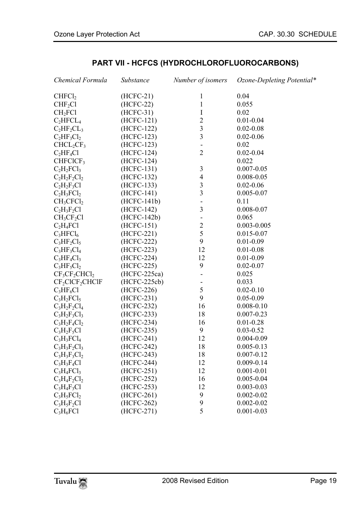| Chemical Formula                   | Substance      | Number of isomers        | Ozone-Depleting Potential* |
|------------------------------------|----------------|--------------------------|----------------------------|
| CHFCI <sub>2</sub>                 | $(HCFC-21)$    | 1                        | 0.04                       |
| CHF <sub>2</sub> Cl                | $(HCFC-22)$    | $\mathbf{1}$             | 0.055                      |
| CH <sub>2</sub> FC1                | $(HCFC-31)$    | I                        | 0.02                       |
| $C_2HFCL_4$                        | (HCFC-121)     | $\overline{c}$           | $0.01 - 0.04$              |
| $C_2HF_2CL_3$                      | (HCFC-122)     | $\overline{\mathbf{3}}$  | $0.02 - 0.08$              |
| $C_2HF_3Cl_2$                      | (HCFC-123)     | $\overline{\mathbf{3}}$  | $0.02 - 0.06$              |
| $CHCL_2CF_3$                       | (HCFC-123)     | $\overline{a}$           | 0.02                       |
| $C_2HF_4Cl$                        | (HCFC-124)     | $\overline{2}$           | $0.02 - 0.04$              |
| CHFCICF3                           | (HCFC-124)     |                          | 0.022                      |
| $C_2H_2FCl_3$                      | $(HCFC-131)$   | $\mathfrak{Z}$           | $0.007 - 0.05$             |
| $C_2H_2F_2Cl_2$                    | (HCFC-132)     | $\overline{4}$           | $0.008 - 0.05$             |
| $C_2H_2F_3Cl$                      | (HCFC-133)     | $\mathfrak{Z}$           | $0.02 - 0.06$              |
| $C_2H_3FCI_2$                      | (HCFC-141)     | 3                        | $0.005 - 0.07$             |
| CH <sub>3</sub> CFCI <sub>2</sub>  | $(HCFC-141b)$  | $\overline{\phantom{0}}$ | 0.11                       |
| $C_2H_3F_2Cl$                      | (HCFC-142)     | $\overline{\mathbf{3}}$  | $0.008 - 0.07$             |
| CH <sub>3</sub> CF <sub>2</sub> Cl | (HCFC-142b)    | $\overline{a}$           | 0.065                      |
| $C_2H_4FC1$                        | $(HCFC-151)$   | $\overline{c}$           | $0.003 - 0.005$            |
| $C_3HFCl_6$                        | (HCFC-221)     | 5                        | $0.015 - 0.07$             |
| $C_3HF_2Cl_5$                      | (HCFC-222)     | 9                        | $0.01 - 0.09$              |
| $C_3HF_3Cl_4$                      | (HCFC-223)     | 12                       | $0.01 - 0.08$              |
| $C_3HF_4Cl_3$                      | (HCFC-224)     | 12                       | $0.01 - 0.09$              |
| $C_3HF_5Cl_2$                      | (HCFC-225)     | 9                        | $0.02 - 0.07$              |
| $CF_3CF_2CHCl_2$                   | $(HCFC-225ca)$ | $\blacksquare$           | 0.025                      |
| $CF_2CICF_2CHCIF$                  | (HCFC-225cb)   | $\overline{\phantom{0}}$ | 0.033                      |
| $C_3HF_6Cl$                        | (HCFC-226)     | 5                        | $0.02 - 0.10$              |
| $C_3H_2FCI_5$                      | (HCFC-231)     | 9                        | $0.05 - 0.09$              |
| $C_3H_2F_2Cl_4$                    | (HCFC-232)     | 16                       | $0.008 - 0.10$             |
| $C_3H_2F_3Cl_3$                    | (HCFC-233)     | 18                       | $0.007 - 0.23$             |
| $C_3H_2F_4Cl_2$                    | (HCFC-234)     | 16                       | $0.01 - 0.28$              |
| $C_3H_2F_5Cl$                      | (HCFC-235)     | 9                        | $0.03 - 0.52$              |
| $C_3H_3FCl_4$                      | (HCFC-241)     | 12                       | $0.004 - 0.09$             |
| $C_3H_3F_2Cl_3$                    | (HCFC-242)     | 18                       | $0.005 - 0.13$             |
| $C_3H_3F_3Cl_2$                    | (HCFC-243)     | 18                       | $0.007 - 0.12$             |
| $C_3H_3F_4Cl$                      | (HCFC-244)     | 12                       | $0.009 - 0.14$             |
| $C_3H_4FCl_3$                      | (HCFC-251)     | 12                       | $0.001 - 0.01$             |
| $C_3H_4F_2Cl_2$                    | (HCFC-252)     | 16                       | $0.005 - 0.04$             |
| $C_3H_4F_3Cl$                      | (HCFC-253)     | 12                       | $0.003 - 0.03$             |
| $C_3H_5FCl_2$                      | (HCFC-261)     | 9                        | $0.002 - 0.02$             |
| $C_3H_5F_2Cl$                      | (HCFC-262)     | 9                        | $0.002 - 0.02$             |
| $C_3H_6FC1$                        | (HCFC-271)     | 5                        | $0.001 - 0.03$             |

### <span id="page-18-0"></span>**PART VII - HCFCS (HYDROCHLOROFLUOROCARBONS)**